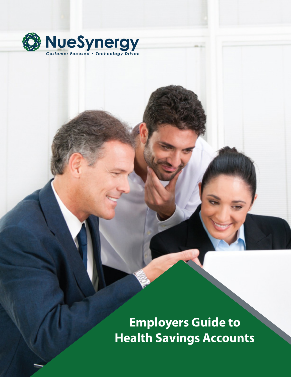

**Employers Guide to Health Savings Accounts**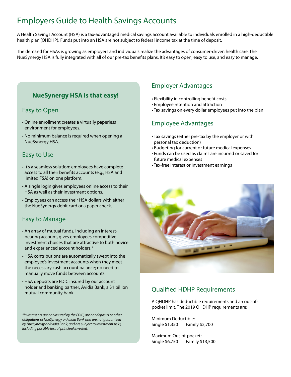# Employers Guide to Health Savings Accounts

A Health Savings Account (HSA) is a tax-advantaged medical savings account available to individuals enrolled in a high-deductible health plan (QHDHP). Funds put into an HSA are not subject to federal income tax at the time of deposit.

The demand for HSAs is growing as employers and individuals realize the advantages of consumer-driven health care. The NueSynergy HSA is fully integrated with all of our pre-tax benefits plans. It's easy to open, easy to use, and easy to manage.

## **NueSynergy HSA is that easy!**

### Easy to Open

- Online enrollment creates a virtually paperless environment for employees.
- No minimum balance is required when opening a NueSynergy HSA.

### Easy to Use

- It's a seamless solution: employees have complete access to all their benefits accounts (e.g., HSA and limited FSA) on one platform.
- A single login gives employees online access to their HSA as well as their investment options.
- Employees can access their HSA dollars with either the NueSynergy debit card or a paper check.

### Easy to Manage

- An array of mutual funds, including an interestbearing account, gives employees competitive investment choices that are attractive to both novice and experienced account holders.\*
- HSA contributions are automatically swept into the employee's investment accounts when they meet the necessary cash account balance; no need to manually move funds between accounts.
- HSA deposits are FDIC insured by our account holder and banking partner, Avidia Bank, a \$1 billion mutual community bank.

*\*Investments are not insured by the FDIC; are not deposits or other obligations of NueSynergy or Avidia Bank and are not guaranteed by NueSynergy or Avidia Bank; and are subject to investment risks, including possible loss of principal invested.*

## Employer Advantages

- Flexibility in controlling benefit costs
- Employee retention and attraction
- Tax savings on every dollar employees put into the plan

## Employee Advantages

- Tax savings (either pre-tax by the employer or with personal tax deduction)
- Budgeting for current or future medical expenses
- Funds can be used as claims are incurred or saved for future medical expenses
- Tax-free interest or investment earnings



## Qualified HDHP Requirements

A QHDHP has deductible requirements and an out-ofpocket limit. The 2019 QHDHP requirements are:

Minimum Deductible: Single \$1,350 Family \$2,700

Maximum Out-of-pocket: Single \$6,750 Family \$13,500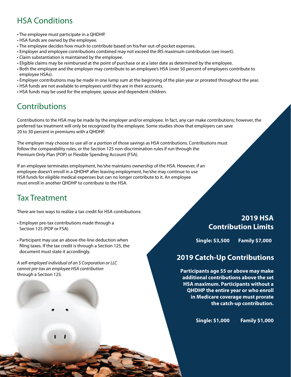# HSA Conditions

- The employee must participate in a QHDHP.
- HSA funds are owned by the employee.
- The employee decides how much to contribute based on his/her out-of-pocket expenses.
- Employer and employee contributions combined may not exceed the IRS maximum contribution (see insert).
- Claim substantiation is maintained by the employee.
- Eligible claims may be reimbursed at the point of purchase or at a later date as determined by the employee.
- Both the employee and the employer may contribute to an employee's HSA (over 50 percent of employers contribute to employee HSAs).
- Employer contributions may be made in one lump sum at the beginning of the plan year or prorated throughout the year.
- HSA funds are not available to employees until they are in their accounts.
- HSA funds may be used for the employee, spouse and dependent children.

# **Contributions**

Contributions to the HSA may be made by the employer and/or employee. In fact, any can make contributions; however, the preferred tax treatment will only be recognized by the employee. Some studies show that employers can save 20 to 30 percent in premiums with a QHDHP.

The employer may choose to use all or a portion of those savings as HSA contributions. Contributions must follow the comparability rules, or the Section 125 non-discrimination rules if run through the Premium Only Plan (POP) or Flexible Spending Account (FSA).

If an employee terminates employment, he/she maintains ownership of the HSA. However, if an employee doesn't enroll in a QHDHP after leaving employment, he/she may continue to use HSA funds for eligible medical expenses but can no longer contribute to it. An employee must enroll in another QHDHP to contribute to the HSA.

# Tax Treatment

There are two ways to realize a tax credit for HSA contributions:

- Employer pre-tax contributions made through a Section 125 (POP or FSA)
- Participant may use an above-the-line deduction when filing taxes. If the tax credit is through a Section 125, the document must state it accordingly.

*A self-employed individual of an S Corporation or LLC cannot pre-tax an employee HSA contribution*  through a Section 125.

## **2019 HSA Contribution Limits**

**Single: \$3,500 Family \$7,000**

## **2019 Catch-Up Contributions**

**Participants age 55 or above may make additional contributions above the set HSA maximum. Participants without a QHDHP the entire year or who enroll in Medicare coverage must prorate the catch-up contribution.** 

**Single: \$1,000 Family \$1,000**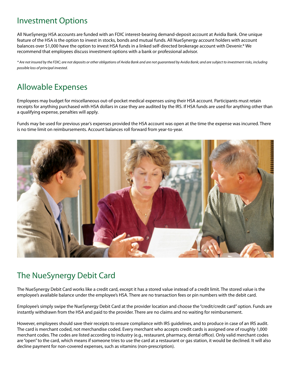## Investment Options

All NueSynergy HSA accounts are funded with an FDIC interest-bearing demand-deposit account at Avidia Bank. One unique feature of the HSA is the option to invest in stocks, bonds and mutual funds. All NueSynergy account holders with account balances over \$1,000 have the option to invest HSA funds in a linked self-directed brokerage account with Devenir.\* We recommend that employees discuss investment options with a bank or professional advisor.

*\* Are not insured by the FDIC; are not deposits or other obligations of Avidia Bank and are not guaranteed by Avidia Bank; and are subject to investment risks, including possible loss of principal invested*.

# Allowable Expenses

Employees may budget for miscellaneous out-of-pocket medical expenses using their HSA account. Participants must retain receipts for anything purchased with HSA dollars in case they are audited by the IRS. If HSA funds are used for anything other than a qualifying expense, penalties will apply.

Funds may be used for previous year's expenses provided the HSA account was open at the time the expense was incurred. There is no time limit on reimbursements. Account balances roll forward from year-to-year.



# The NueSynergy Debit Card

The NueSynergy Debit Card works like a credit card, except it has a stored value instead of a credit limit. The stored value is the employee's available balance under the employee's HSA. There are no transaction fees or pin numbers with the debit card.

Employee's simply swipe the NueSynergy Debit Card at the provider location and choose the "credit/credit card" option. Funds are instantly withdrawn from the HSA and paid to the provider. There are no claims and no waiting for reimbursement.

However, employees should save their receipts to ensure compliance with IRS guidelines, and to produce in case of an IRS audit. The card is merchant coded, not merchandise coded. Every merchant who accepts credit cards is assigned one of roughly 1,000 merchant codes. The codes are listed according to industry (e.g., restaurant, pharmacy, dental office). Only valid merchant codes are "open" to the card, which means if someone tries to use the card at a restaurant or gas station, it would be declined. It will also decline payment for non-covered expenses, such as vitamins (non-prescription).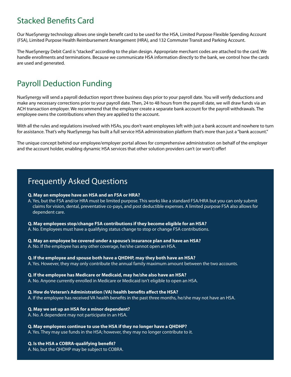## Stacked Benefits Card

Our NueSynergy technology allows one single benefit card to be used for the HSA, Limited Purpose Flexible Spending Account (FSA), Limited Purpose Health Reimbursement Arrangement (HRA), and 132 Commuter Transit and Parking Account.

The NueSynergy Debit Card is "stacked" according to the plan design. Appropriate merchant codes are attached to the card. We handle enrollments and terminations. Because we communicate HSA information directly to the bank, we control how the cards are used and generated.

# Payroll Deduction Funding

NueSynergy will send a payroll deduction report three business days prior to your payroll date. You will verify deductions and make any necessary corrections prior to your payroll date. Then, 24 to 48 hours from the payroll date, we will draw funds via an ACH transaction employer. We recommend that the employer create a separate bank account for the payroll withdrawals. The employee owns the contributions when they are applied to the account.

With all the rules and regulations involved with HSAs, you don't want employees left with just a bank account and nowhere to turn for assistance. That's why NueSynergy has built a full service HSA administration platform that's more than just a "bank account."

The unique concept behind our employee/employer portal allows for comprehensive administration on behalf of the employer and the account holder, enabling dynamic HSA services that other solution providers can't (or won't) offer!

## Frequently Asked Questions

### **Q. May an employee have an HSA and an FSA or HRA?**

A. Yes, but the FSA and/or HRA must be limited purpose. This works like a standard FSA/HRA but you can only submit claims for vision, dental, preventative co-pays, and post deductible expenses. A limited purpose FSA also allows for dependent care.

#### **Q. May employees stop/change FSA contributions if they become eligible for an HSA?**

A. No. Employees must have a qualifying status change to stop or change FSA contributions.

**Q. May an employee be covered under a spouse's insurance plan and have an HSA?**

A. No. If the employee has any other coverage, he/she cannot open an HSA.

### **Q. If the employee and spouse both have a QHDHP, may they both have an HSA?**

A. Yes. However, they may only contribute the annual family maximum amount between the two accounts.

### **Q. If the employee has Medicare or Medicaid, may he/she also have an HSA?**

A. No. Anyone currently enrolled in Medicare or Medicaid isn't eligible to open an HSA.

### **Q. How do Veteran's Administration (VA) health benefits affect the HSA?**

A. If the employee has received VA health benefits in the past three months, he/she may not have an HSA.

### **Q. May we set up an HSA for a minor dependent?**

A. No. A dependent may not participate in an HSA.

### **Q. May employees continue to use the HSA if they no longer have a QHDHP?**

A. Yes. They may use funds in the HSA; however, they may no longer contribute to it.

### **Q. Is the HSA a COBRA-qualifying benefit?**

A. No, but the QHDHP may be subject to COBRA.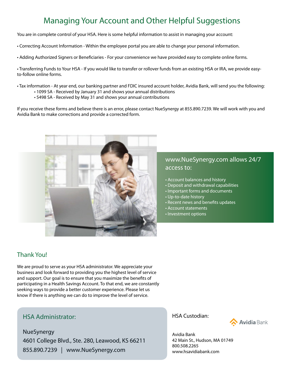# Managing Your Account and Other Helpful Suggestions

You are in complete control of your HSA. Here is some helpful information to assist in managing your account:

• Correcting Account Information - Within the employee portal you are able to change your personal information.

• Adding Authorized Signers or Beneficiaries - For your convenience we have provided easy to complete online forms.

• Transferring Funds to Your HSA - If you would like to transfer or rollover funds from an existing HSA or IRA, we provide easyto-follow online forms.

• Tax information - At year end, our banking partner and FDIC insured account holder, Avidia Bank, will send you the following:

- 1099 SA Received by January 31 and shows your annual distributions
- 5498 SA Received by May 31 and shows your annual contributions

If you receive these forms and believe there is an error, please contact NueSynergy at 855.890.7239. We will work with you and Avidia Bank to make corrections and provide a corrected form.



## www.NueSynergy.com allows 24/7 access to:

- Account balances and history
- Deposit and withdrawal capabilities
- Important forms and documents
- Up-to-date history
- Recent news and benefits updates
- Account statements
- Investment options

### Thank You!

We are proud to serve as your HSA administrator. We appreciate your business and look forward to providing you the highest level of service and support. Our goal is to ensure that you maximize the benefits of participating in a Health Savings Account. To that end, we are constantly seeking ways to provide a better customer experience. Please let us know if there is anything we can do to improve the level of service.

## HSA Administrator:

NueSynergy 4601 College Blvd., Ste. 280, Leawood, KS 66211 855.890.7239 | www.NueSynergy.com

### HSA Custodian:



Avidia Bank 42 Main St., Hudson, MA 01749 800.508.2265 www.hsavidiabank.com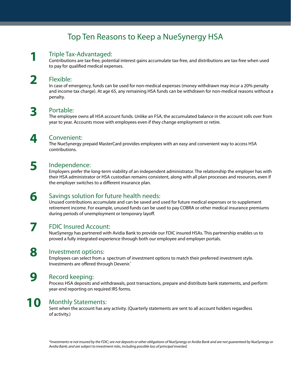# Top Ten Reasons to Keep a NueSynergy HSA

### Triple Tax-Advantaged: **1**

Contributions are tax-free, potential interest gains accumulate tax-free, and distributions are tax-free when used to pay for qualified medical expenses.

#### Flexible: **2**

In case of emergency, funds can be used for non-medical expenses (money withdrawn may incur a 20% penalty and income tax charge). At age 65, any remaining HSA funds can be withdrawn for non-medical reasons without a penalty.

### Portable: **3**

The employee owns all HSA account funds. Unlike an FSA, the accumulated balance in the account rolls over from year to year. Accounts move with employees even if they change employment or retire.

#### Convenient: **4**

The NueSynergy prepaid MasterCard provides employees with an easy and convenient way to access HSA contributions.

#### Independence: **5**

Employers prefer the long-term viability of an independent administrator. The relationship the employer has with their HSA administrator or HSA custodian remains consistent, along with all plan processes and resources, even if the employer switches to a different insurance plan.

#### Savings solution for future health needs: **6**

Unused contributions accumulate and can be saved and used for future medical expenses or to supplement retirement income. For example, unused funds can be used to pay COBRA or other medical insurance premiums during periods of unemployment or temporary layoff.

### FDIC Insured Account: **7**

NueSynergy has partnered with Avidia Bank to provide our FDIC insured HSAs. This partnership enables us to proved a fully integrated experience through both our employee and employer portals.

#### Investment options: **8**

Employees can select from a spectrum of investment options to match their preferred investment style. Investments are offered through Devenir.\*

#### Record keeping: **9**

Process HSA deposits and withdrawals, post transactions, prepare and distribute bank statements, and perform year-end reporting on required IRS forms.

#### Monthly Statements: **10**

Sent when the account has any activity. (Quarterly statements are sent to all account holders regardless of activity.)